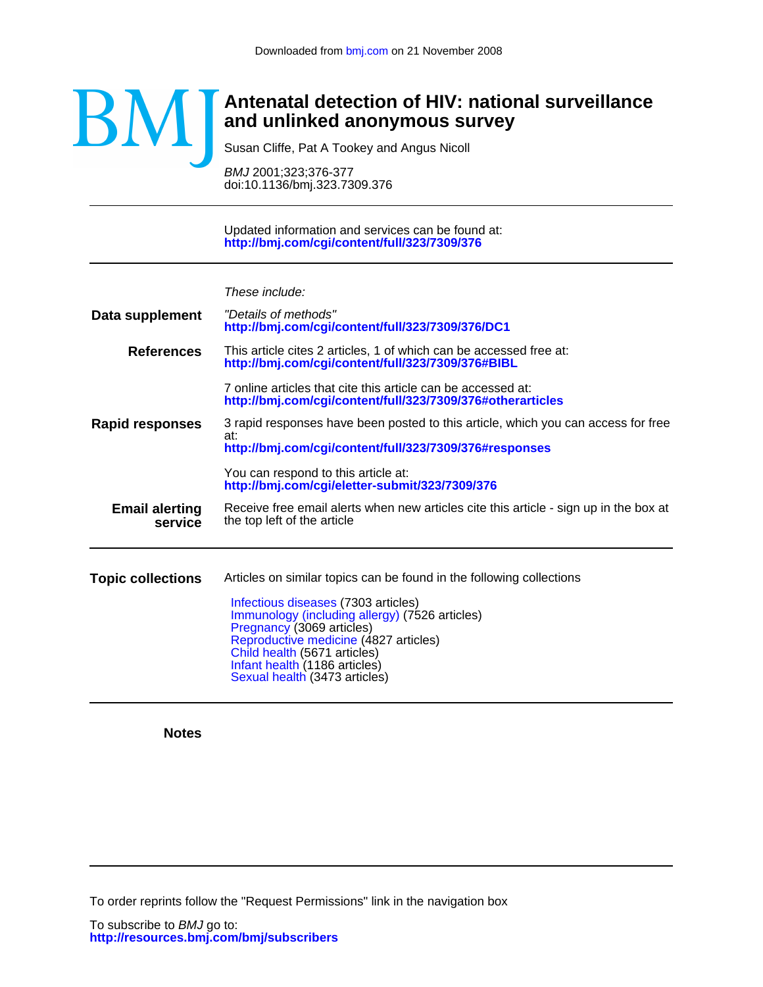

# **and unlinked anonymous survey Antenatal detection of HIV: national surveillance**

Susan Cliffe, Pat A Tookey and Angus Nicoll

doi:10.1136/bmj.323.7309.376 BMJ 2001;323;376-377

**<http://bmj.com/cgi/content/full/323/7309/376>** Updated information and services can be found at:

These include:

**Data supplement <http://bmj.com/cgi/content/full/323/7309/376/DC1>** "Details of methods" **References <http://bmj.com/cgi/content/full/323/7309/376#otherarticles>** 7 online articles that cite this article can be accessed at: **<http://bmj.com/cgi/content/full/323/7309/376#BIBL>** This article cites 2 articles, 1 of which can be accessed free at: **Rapid responses <http://bmj.com/cgi/eletter-submit/323/7309/376>** You can respond to this article at: **<http://bmj.com/cgi/content/full/323/7309/376#responses>** at: 3 rapid responses have been posted to this article, which you can access for free **service Email alerting** Receive free email alert<br>**Service** the top left of the article Receive free email alerts when new articles cite this article - sign up in the box at **Topic collections** [Sexual health](http://bmj.com/cgi/collection/sexual_health) (3473 articles) [Infant health](http://bmj.com/cgi/collection/infant_health) (1186 articles) [Child health](http://bmj.com/cgi/collection/child_health) (5671 articles) [Reproductive medicine](http://bmj.com/cgi/collection/reproductive_medicine) (4827 articles) [Pregnancy](http://bmj.com/cgi/collection/pregnancy) (3069 articles) [Immunology \(including allergy\)](http://bmj.com/cgi/collection/immunology_including_allergy) (7526 articles) [Infectious diseases](http://bmj.com/cgi/collection/infectious_diseases) (7303 articles) Articles on similar topics can be found in the following collections

**Notes**

To order reprints follow the "Request Permissions" link in the navigation box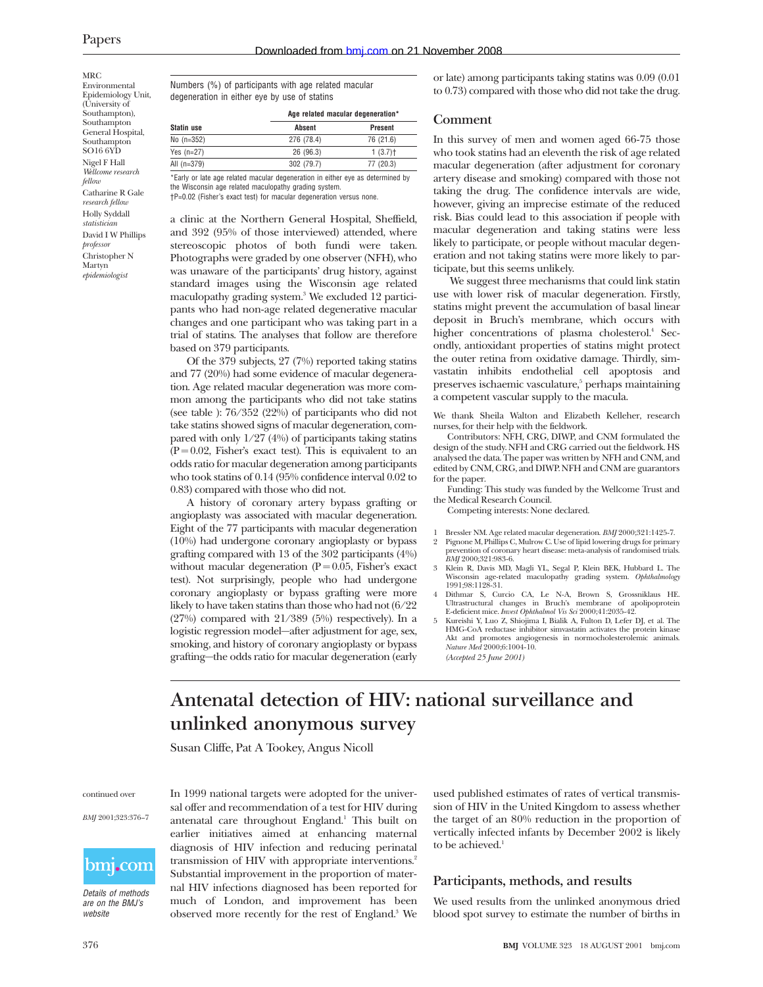MRC Environmental Epidemiology Unit, (University of Southampton), Southampton General Hospital, Southampton SO16 6YD Nigel F Hall *Wellcome research fellow* Catharine R Gale *research fellow* Holly Syddall *statistician* David I W Phillips *professor* Christopher N Martyn *epidemiologist*

Numbers (%) of participants with age related macular degeneration in either eye by use of statins

| Age related macular degeneration* |                       |  |  |
|-----------------------------------|-----------------------|--|--|
| <b>Absent</b>                     | Present               |  |  |
| 276 (78.4)                        | 76 (21.6)             |  |  |
| 26 (96.3)                         | $1(3.7)$ <sup>+</sup> |  |  |
| 302 (79.7)                        | 77 (20.3)             |  |  |
|                                   |                       |  |  |

\*Early or late age related macular degeneration in either eye as determined by the Wisconsin age related maculopathy grading system. †P=0.02 (Fisher's exact test) for macular degeneration versus none.

a clinic at the Northern General Hospital, Sheffield, and 392 (95% of those interviewed) attended, where stereoscopic photos of both fundi were taken. Photographs were graded by one observer (NFH), who was unaware of the participants' drug history, against standard images using the Wisconsin age related maculopathy grading system.3 We excluded 12 participants who had non-age related degenerative macular changes and one participant who was taking part in a trial of statins. The analyses that follow are therefore based on 379 participants.

Of the 379 subjects, 27 (7%) reported taking statins and 77 (20%) had some evidence of macular degeneration. Age related macular degeneration was more common among the participants who did not take statins (see table ): 76/352 (22%) of participants who did not take statins showed signs of macular degeneration, compared with only 1/27 (4%) of participants taking statins  $(P = 0.02$ , Fisher's exact test). This is equivalent to an odds ratio for macular degeneration among participants who took statins of 0.14 (95% confidence interval 0.02 to 0.83) compared with those who did not.

A history of coronary artery bypass grafting or angioplasty was associated with macular degeneration. Eight of the 77 participants with macular degeneration (10%) had undergone coronary angioplasty or bypass grafting compared with 13 of the 302 participants (4%) without macular degeneration ( $P = 0.05$ , Fisher's exact test). Not surprisingly, people who had undergone coronary angioplasty or bypass grafting were more likely to have taken statins than those who had not (6/22 (27%) compared with 21/389 (5%) respectively). In a logistic regression model—after adjustment for age, sex, smoking, and history of coronary angioplasty or bypass grafting—the odds ratio for macular degeneration (early

or late) among participants taking statins was 0.09 (0.01 to 0.73) compared with those who did not take the drug.

#### **Comment**

In this survey of men and women aged 66-75 those who took statins had an eleventh the risk of age related macular degeneration (after adjustment for coronary artery disease and smoking) compared with those not taking the drug. The confidence intervals are wide, however, giving an imprecise estimate of the reduced risk. Bias could lead to this association if people with macular degeneration and taking statins were less likely to participate, or people without macular degeneration and not taking statins were more likely to participate, but this seems unlikely.

We suggest three mechanisms that could link statin use with lower risk of macular degeneration. Firstly, statins might prevent the accumulation of basal linear deposit in Bruch's membrane, which occurs with higher concentrations of plasma cholesterol.<sup>4</sup> Secondly, antioxidant properties of statins might protect the outer retina from oxidative damage. Thirdly, simvastatin inhibits endothelial cell apoptosis and preserves ischaemic vasculature,<sup>5</sup> perhaps maintaining a competent vascular supply to the macula.

We thank Sheila Walton and Elizabeth Kelleher, research nurses, for their help with the fieldwork.

Contributors: NFH, CRG, DIWP, and CNM formulated the design of the study. NFH and CRG carried out the fieldwork. HS analysed the data. The paper was written by NFH and CNM, and edited by CNM, CRG, and DIWP. NFH and CNM are guarantors for the paper.

Funding: This study was funded by the Wellcome Trust and the Medical Research Council.

Competing interests: None declared.

- 1 Bressler NM. Age related macular degeneration. *BMJ* 2000;321:1425-7. 2 Pignone M, Phillips C, Mulrow C. Use of lipid lowering drugs for primary prevention of coronary heart disease: meta-analysis of randomised trials.
- *BMJ* 2000;321:983-6. 3 Klein R, Davis MD, Magli YL, Segal P, Klein BEK, Hubbard L. The Wisconsin age-related maculopathy grading system. *Ophthalmology* 1991;98:1128-31.
- 4 Dithmar S, Curcio CA, Le N-A, Brown S, Grossniklaus HE. Ultrastructural changes in Bruch's membrane of apolipoprotein E-deficient mice. *Invest Ophthalmol Vis Sci* 2000;41:2035-42.
- 5 Kureishi Y, Luo Z, Shiojima I, Bialik A, Fulton D, Lefer DJ, et al. The HMG-CoA reductase inhibitor simvastatin activates the protein kinase Akt and promotes angiogenesis in normocholesterolemic animals. *Nature Med* 2000;6:1004-10. *(Accepted 25 June 2001)*

**Antenatal detection of HIV: national surveillance and unlinked anonymous survey**

Susan Cliffe, Pat A Tookey, Angus Nicoll

continued over

*BMJ* 2001;323:376–7



Details of methods are on the BMJ's website

In 1999 national targets were adopted for the universal offer and recommendation of a test for HIV during antenatal care throughout England.<sup>1</sup> This built on earlier initiatives aimed at enhancing maternal diagnosis of HIV infection and reducing perinatal transmission of HIV with appropriate interventions.<sup>2</sup> Substantial improvement in the proportion of maternal HIV infections diagnosed has been reported for much of London, and improvement has been observed more recently for the rest of England.<sup>3</sup> We

used published estimates of rates of vertical transmission of HIV in the United Kingdom to assess whether the target of an 80% reduction in the proportion of vertically infected infants by December 2002 is likely to be achieved.<sup>1</sup>

## **Participants, methods, and results**

We used results from the unlinked anonymous dried blood spot survey to estimate the number of births in